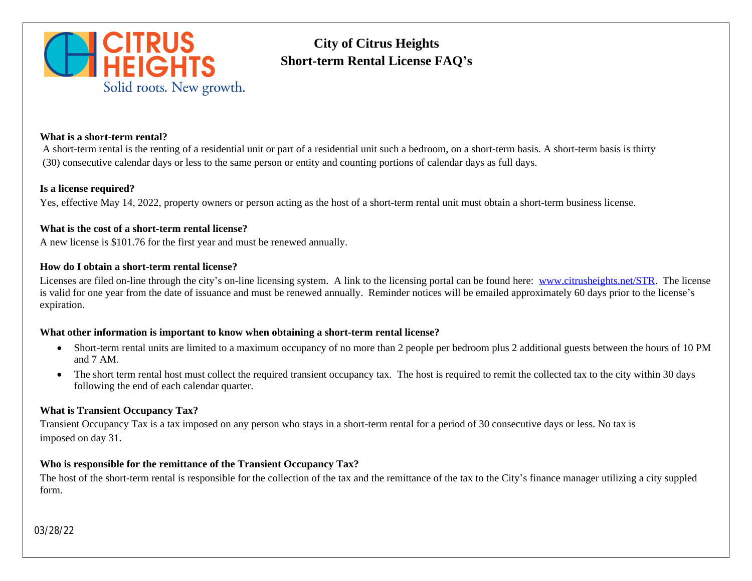

# **City of Citrus Heights Short-term Rental License FAQ's**

#### **What is a short-term rental?**

A short-term rental is the renting of a residential unit or part of a residential unit such a bedroom, on a short-term basis. A short-t (30) consecutive calendar days or less to the same person or entity and counting portions of calendar days as full days.

#### **Is a license required?**

Yes, effective May 14, 2022, property owners or person acting as the host of a short-term rental unit must obtain a short-term bus

#### **What is the cost of a short-term rental license?**

A new license is \$101.76 for the first year and must be renewed annually.

## **How do I obtain a short-term rental license?**

Licenses are filed on-line through the city's on-line licensing system. A link to the licensing portal can be found here: www.citrusheights. is valid for one year from the date of issuance and must be renewed annually. Reminder notices will be emailed approximately 60 expiration.

#### **What other information is important to know when obtaining a short-term rental license?**

- Short-term rental units are limited to a maximum occupancy of no more than 2 people per bedroom plus 2 additional gues and 7 AM.
- The short term rental host must collect the required transient occupancy tax. The host is required to remit the collected ta following the end of each calendar quarter.

## **What is Transient Occupancy Tax?**

Transient Occupancy Tax is a tax imposed on any person who stays in a short-term rental for a period of 30 consecutive days or less. imposed on day 31.

## **Who is responsible for the remittance of the Transient Occupancy Tax?**

The host of the short-term rental is responsible for the collection of the tax and the remittance of the tax to the City's finance man form.

03/28/22